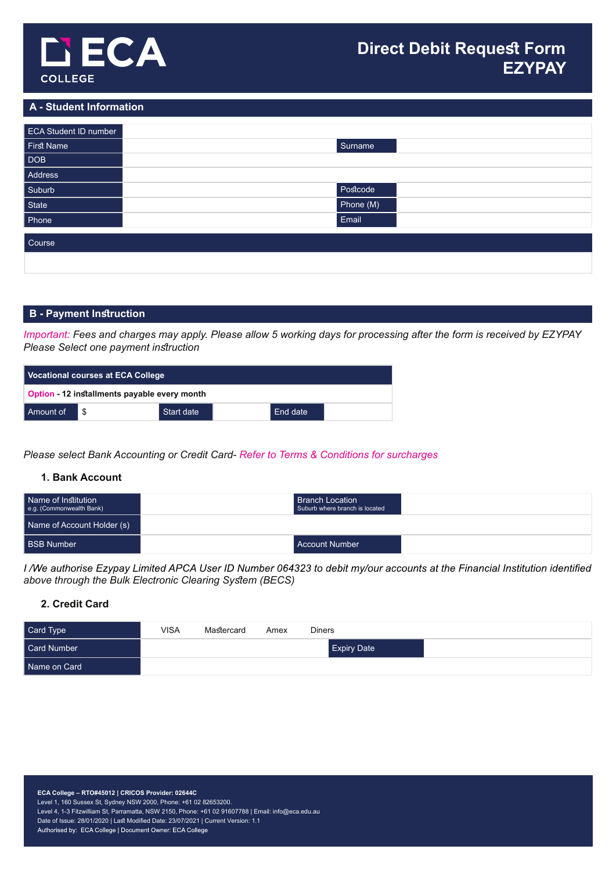

## **A - Student Information**

| ECA Student ID number |                |  |
|-----------------------|----------------|--|
| First Name            | <b>Surname</b> |  |
| DOB                   |                |  |
| Address               |                |  |
| Suburb                | Postcode       |  |
| State                 | Phone (M)      |  |
| Phone                 | Email          |  |
| $C_{\text{air}}$      |                |  |

ours

## **B - Payment Instruction**

*Important: Fees and charges may apply. Please allow 5 working days for processing after the form is received by EZYPAY Please Select one payment instruction*

| Vocational courses at ECA College            |    |            |  |          |  |  |
|----------------------------------------------|----|------------|--|----------|--|--|
| Option - 12 installments payable every month |    |            |  |          |  |  |
| l Amount of                                  | \$ | Start date |  | End date |  |  |

*Please select Bank Accounting or Credit Card- Refer to Terms & Conditions for surcharges*

## **1. Bank Account**

| Name of Institution<br>e.g. (Commonwealth Bank) | <b>Branch Location</b><br>Suburb where branch is located |  |
|-------------------------------------------------|----------------------------------------------------------|--|
| Name of Account Holder (s)                      |                                                          |  |
| <b>BSB Number</b>                               | Account Number                                           |  |

I /We authorise Ezypay Limited APCA User ID Number 064323 to debit my/our accounts at the Financial Institution identified *above through the Bulk Electronic Clearing System (BECS)*

#### **2. Credit Card**

| Card Type    | <b>VISA</b> | Mastercard | Amex | <b>Diners</b>      |
|--------------|-------------|------------|------|--------------------|
| Card Number  |             |            |      | <b>Expiry Date</b> |
| Name on Card |             |            |      |                    |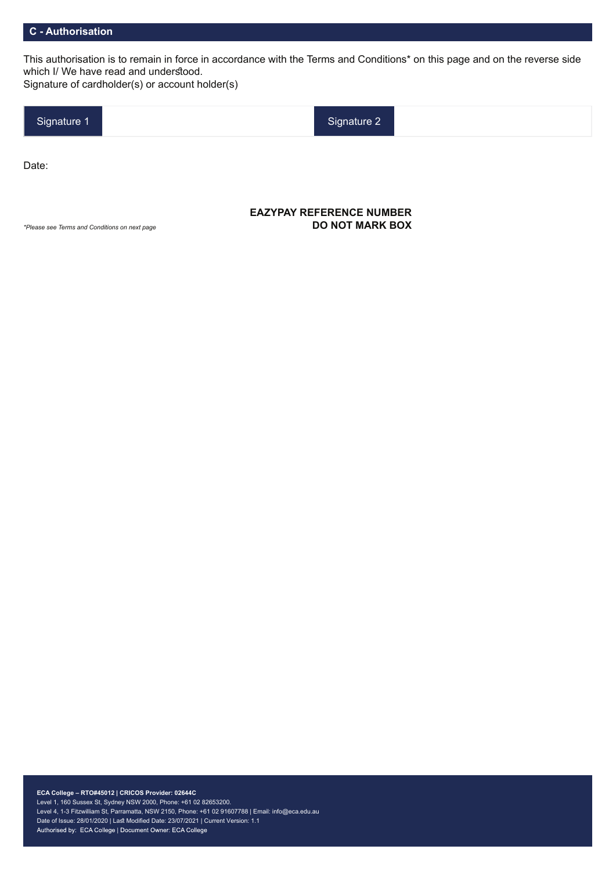## **C - Authorisation**

This authorisation is to remain in force in accordance with the Terms and Conditions\* on this page and on the reverse side which I/ We have read and understood.

Signature of cardholder(s) or account holder(s)

|--|--|--|

Date:

#### **EAZYPAY REFERENCE NUMBER DO NOT MARK BOX**

*\*Please see Terms and Conditions on next page*

**ECA College – RTO#45012 | CRICOS Provider: 02644C**  Level 1, 160 Sussex St, Sydney NSW 2000, Phone: +61 02 82653200. Level 4, 1-3 Fitzwilliam St, Parramatta, NSW 2150, Phone: +61 02 91607788 | Email: info@eca.edu.au Date of Issue: 28/01/2020 | Last Modified Date: 23/07/2021 | Current Version: 1.1 Authorised by: ECA College | Document Owner: ECA College